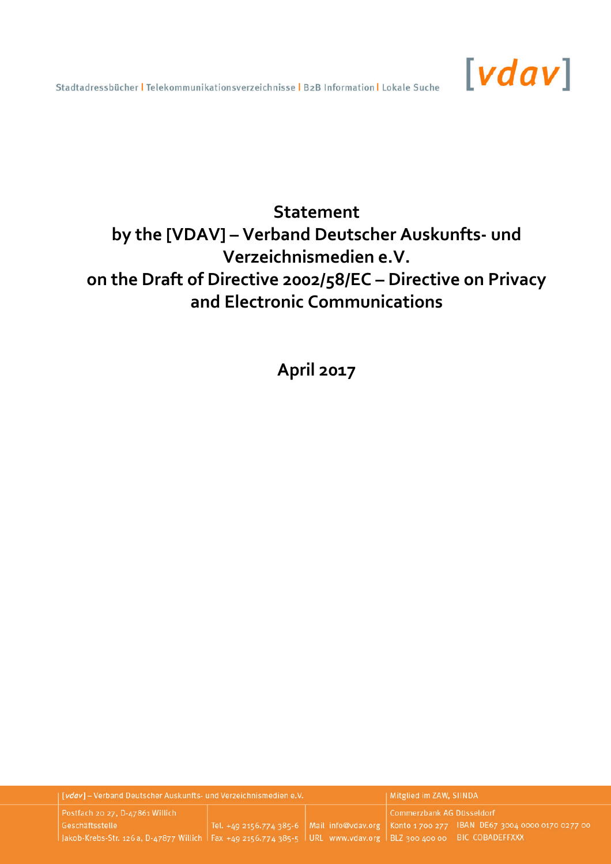

# **Statement by the [VDAV] – Verband Deutscher Auskunfts- und Verzeichnismedien e.V. on the Draft of Directive 2002/58/EC – Directive on Privacy and Electronic Communications**

**April 2017** 

| [vdav] - Verband Deutscher Auskunfts- und Verzeichnismedien e.V.                                                       |  |  | Mitglied im ZAW, SIINDA   |                                                                                                        |
|------------------------------------------------------------------------------------------------------------------------|--|--|---------------------------|--------------------------------------------------------------------------------------------------------|
| Postfach 20 27, D-47861 Willich                                                                                        |  |  | Commerzbank AG Düsseldorf |                                                                                                        |
| Geschäftsstelle                                                                                                        |  |  |                           | . Tel. +49 2156.774 385-6   Mail  info@vdav.org    Konto 1 700 277   IBAN  DE67 3004 0000 0170 0277 00 |
| Jakob-Krebs-Str. 126 a, D-47877 Willich   Fax +49 2156.774 385-5   URL www.vdav.org   BLZ 300 400 00   BIC COBADEFFXXX |  |  |                           |                                                                                                        |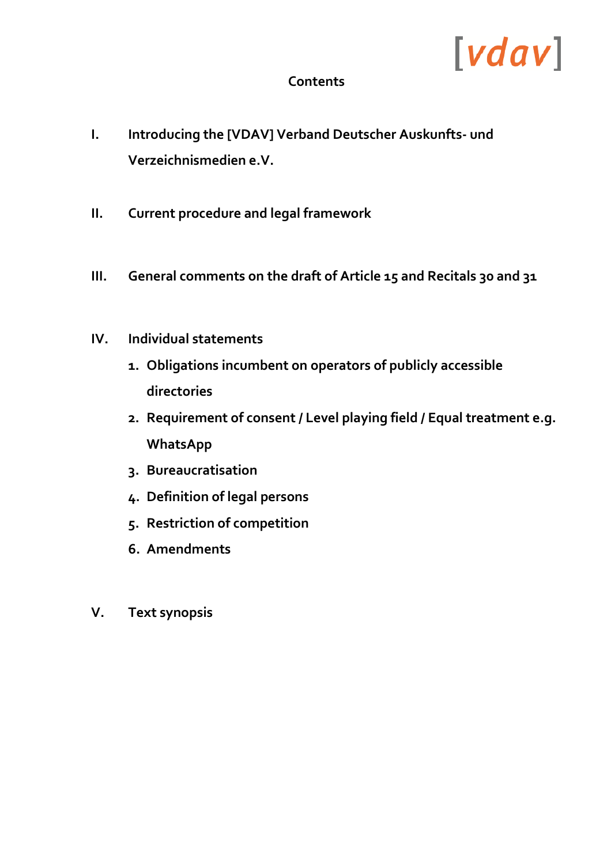# $[vdav]$

# **Contents**

- **I. Introducing the [VDAV] Verband Deutscher Auskunfts- und Verzeichnismedien e.V.**
- **II. Current procedure and legal framework**
- **III. General comments on the draft of Article 15 and Recitals 30 and 31**
- **IV. Individual statements** 
	- **1. Obligations incumbent on operators of publicly accessible directories**
	- **2. Requirement of consent / Level playing field / Equal treatment e.g. WhatsApp**
	- **3. Bureaucratisation**
	- **4. Definition of legal persons**
	- **5. Restriction of competition**
	- **6. Amendments**
- **V. Text synopsis**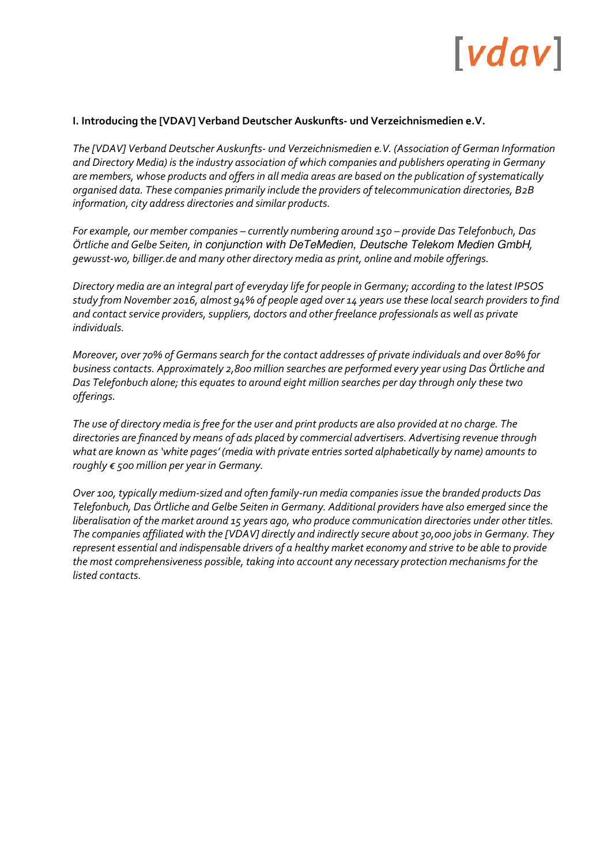#### **I. Introducing the [VDAV] Verband Deutscher Auskunfts- und Verzeichnismedien e.V.**

*The [VDAV] Verband Deutscher Auskunfts- und Verzeichnismedien e.V. (Association of German Information and Directory Media) is the industry association of which companies and publishers operating in Germany are members, whose products and offers in all media areas are based on the publication of systematically organised data. These companies primarily include the providers of telecommunication directories, B2B information, city address directories and similar products.* 

*For example, our member companies – currently numbering around 150 – provide Das Telefonbuch, Das Örtliche and Gelbe Seiten,* in conjunction with DeTeMedien, Deutsche Telekom Medien GmbH*, gewusst-wo, billiger.de and many other directory media as print, online and mobile offerings.*

*Directory media are an integral part of everyday life for people in Germany; according to the latest IPSOS study from November 2016, almost 94% of people aged over 14 years use these local search providers to find and contact service providers, suppliers, doctors and other freelance professionals as well as private individuals.* 

*Moreover, over 70% of Germans search for the contact addresses of private individuals and over 80% for business contacts. Approximately 2,800 million searches are performed every year using Das Örtliche and Das Telefonbuch alone; this equates to around eight million searches per day through only these two offerings.* 

*The use of directory media is free for the user and print products are also provided at no charge. The directories are financed by means of ads placed by commercial advertisers. Advertising revenue through what are known as 'white pages' (media with private entries sorted alphabetically by name) amounts to roughly € 500 million per year in Germany.* 

*Over 100, typically medium-sized and often family-run media companies issue the branded products Das Telefonbuch, Das Örtliche and Gelbe Seiten in Germany. Additional providers have also emerged since the liberalisation of the market around 15 years ago, who produce communication directories under other titles. The companies affiliated with the [VDAV] directly and indirectly secure about 30,000 jobs in Germany. They represent essential and indispensable drivers of a healthy market economy and strive to be able to provide the most comprehensiveness possible, taking into account any necessary protection mechanisms for the listed contacts.*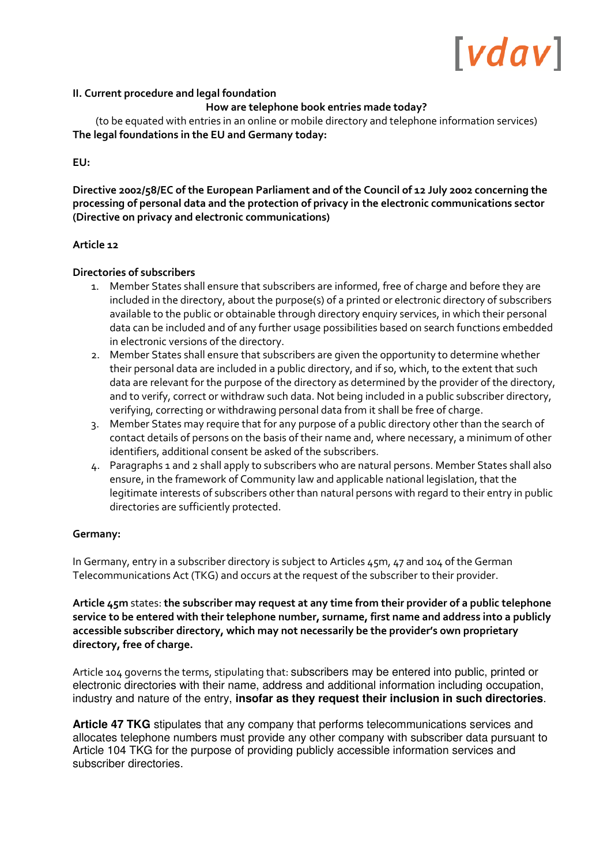#### **II. Current procedure and legal foundation**

**How are telephone book entries made today?** 

(to be equated with entries in an online or mobile directory and telephone information services) **The legal foundations in the EU and Germany today:** 

**EU:** 

**Directive 2002/58/EC of the European Parliament and of the Council of 12 July 2002 concerning the processing of personal data and the protection of privacy in the electronic communications sector (Directive on privacy and electronic communications)** 

#### **Article 12**

#### **Directories of subscribers**

- 1. Member States shall ensure that subscribers are informed, free of charge and before they are included in the directory, about the purpose(s) of a printed or electronic directory of subscribers available to the public or obtainable through directory enquiry services, in which their personal data can be included and of any further usage possibilities based on search functions embedded in electronic versions of the directory.
- 2. Member States shall ensure that subscribers are given the opportunity to determine whether their personal data are included in a public directory, and if so, which, to the extent that such data are relevant for the purpose of the directory as determined by the provider of the directory, and to verify, correct or withdraw such data. Not being included in a public subscriber directory, verifying, correcting or withdrawing personal data from it shall be free of charge.
- 3. Member States may require that for any purpose of a public directory other than the search of contact details of persons on the basis of their name and, where necessary, a minimum of other identifiers, additional consent be asked of the subscribers.
- 4. Paragraphs 1 and 2 shall apply to subscribers who are natural persons. Member States shall also ensure, in the framework of Community law and applicable national legislation, that the legitimate interests of subscribers other than natural persons with regard to their entry in public directories are sufficiently protected.

#### **Germany:**

In Germany, entry in a subscriber directory is subject to Articles 45m, 47 and 104 of the German Telecommunications Act (TKG) and occurs at the request of the subscriber to their provider.

**Article 45m** states: **the subscriber may request at any time from their provider of a public telephone service to be entered with their telephone number, surname, first name and address into a publicly accessible subscriber directory, which may not necessarily be the provider's own proprietary directory, free of charge.** 

Article 104 governs the terms, stipulating that: subscribers may be entered into public, printed or electronic directories with their name, address and additional information including occupation, industry and nature of the entry, **insofar as they request their inclusion in such directories**.

**Article 47 TKG** stipulates that any company that performs telecommunications services and allocates telephone numbers must provide any other company with subscriber data pursuant to Article 104 TKG for the purpose of providing publicly accessible information services and subscriber directories.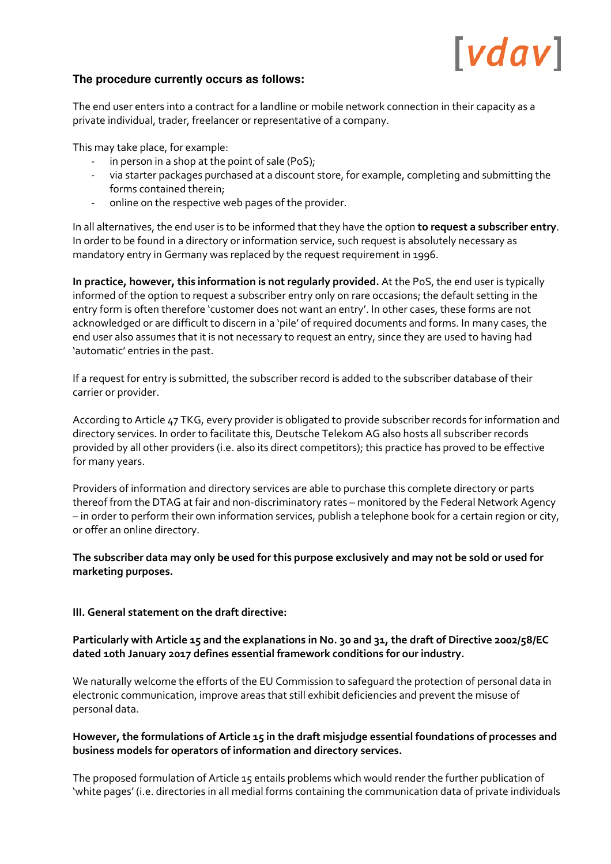### **The procedure currently occurs as follows:**

The end user enters into a contract for a landline or mobile network connection in their capacity as a private individual, trader, freelancer or representative of a company.

This may take place, for example:

- in person in a shop at the point of sale (PoS);
- via starter packages purchased at a discount store, for example, completing and submitting the forms contained therein;
- online on the respective web pages of the provider.

In all alternatives, the end user is to be informed that they have the option **to request a subscriber entry**. In order to be found in a directory or information service, such request is absolutely necessary as mandatory entry in Germany was replaced by the request requirement in 1996.

**In practice, however, this information is not regularly provided.** At the PoS, the end user is typically informed of the option to request a subscriber entry only on rare occasions; the default setting in the entry form is often therefore 'customer does not want an entry'. In other cases, these forms are not acknowledged or are difficult to discern in a 'pile' of required documents and forms. In many cases, the end user also assumes that it is not necessary to request an entry, since they are used to having had 'automatic' entries in the past.

If a request for entry is submitted, the subscriber record is added to the subscriber database of their carrier or provider.

According to Article 47 TKG, every provider is obligated to provide subscriber records for information and directory services. In order to facilitate this, Deutsche Telekom AG also hosts all subscriber records provided by all other providers (i.e. also its direct competitors); this practice has proved to be effective for many years.

Providers of information and directory services are able to purchase this complete directory or parts thereof from the DTAG at fair and non-discriminatory rates – monitored by the Federal Network Agency – in order to perform their own information services, publish a telephone book for a certain region or city, or offer an online directory.

**The subscriber data may only be used for this purpose exclusively and may not be sold or used for marketing purposes.** 

#### **III. General statement on the draft directive:**

# **Particularly with Article 15 and the explanations in No. 30 and 31, the draft of Directive 2002/58/EC dated 10th January 2017 defines essential framework conditions for our industry.**

We naturally welcome the efforts of the EU Commission to safeguard the protection of personal data in electronic communication, improve areas that still exhibit deficiencies and prevent the misuse of personal data.

# **However, the formulations of Article 15 in the draft misjudge essential foundations of processes and business models for operators of information and directory services.**

The proposed formulation of Article 15 entails problems which would render the further publication of 'white pages' (i.e. directories in all medial forms containing the communication data of private individuals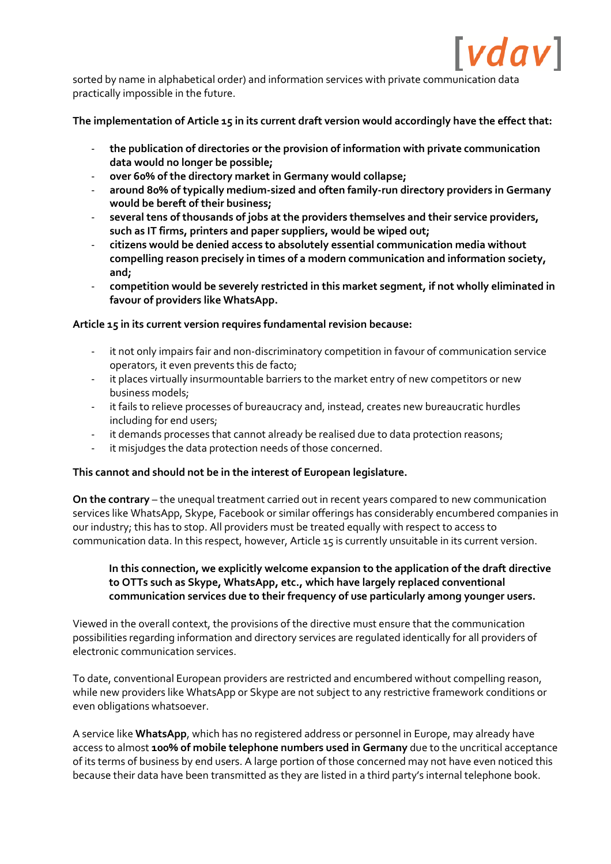

sorted by name in alphabetical order) and information services with private communication data practically impossible in the future.

**The implementation of Article 15 in its current draft version would accordingly have the effect that:** 

- **the publication of directories or the provision of information with private communication data would no longer be possible;**
- **over 60% of the directory market in Germany would collapse;**
- **around 80% of typically medium-sized and often family-run directory providers in Germany would be bereft of their business;**
- **several tens of thousands of jobs at the providers themselves and their service providers, such as IT firms, printers and paper suppliers, would be wiped out;**
- **citizens would be denied access to absolutely essential communication media without compelling reason precisely in times of a modern communication and information society, and;**
- **competition would be severely restricted in this market segment, if not wholly eliminated in favour of providers like WhatsApp.**

**Article 15 in its current version requires fundamental revision because:** 

- it not only impairs fair and non-discriminatory competition in favour of communication service operators, it even prevents this de facto;
- it places virtually insurmountable barriers to the market entry of new competitors or new business models;
- it fails to relieve processes of bureaucracy and, instead, creates new bureaucratic hurdles including for end users;
- it demands processes that cannot already be realised due to data protection reasons;
- it misjudges the data protection needs of those concerned.

#### **This cannot and should not be in the interest of European legislature.**

**On the contrary** – the unequal treatment carried out in recent years compared to new communication services like WhatsApp, Skype, Facebook or similar offerings has considerably encumbered companies in our industry; this has to stop. All providers must be treated equally with respect to access to communication data. In this respect, however, Article 15 is currently unsuitable in its current version.

### **In this connection, we explicitly welcome expansion to the application of the draft directive to OTTs such as Skype, WhatsApp, etc., which have largely replaced conventional communication services due to their frequency of use particularly among younger users.**

Viewed in the overall context, the provisions of the directive must ensure that the communication possibilities regarding information and directory services are regulated identically for all providers of electronic communication services.

To date, conventional European providers are restricted and encumbered without compelling reason, while new providers like WhatsApp or Skype are not subject to any restrictive framework conditions or even obligations whatsoever.

A service like **WhatsApp**, which has no registered address or personnel in Europe, may already have access to almost **100% of mobile telephone numbers used in Germany** due to the uncritical acceptance of its terms of business by end users. A large portion of those concerned may not have even noticed this because their data have been transmitted as they are listed in a third party's internal telephone book.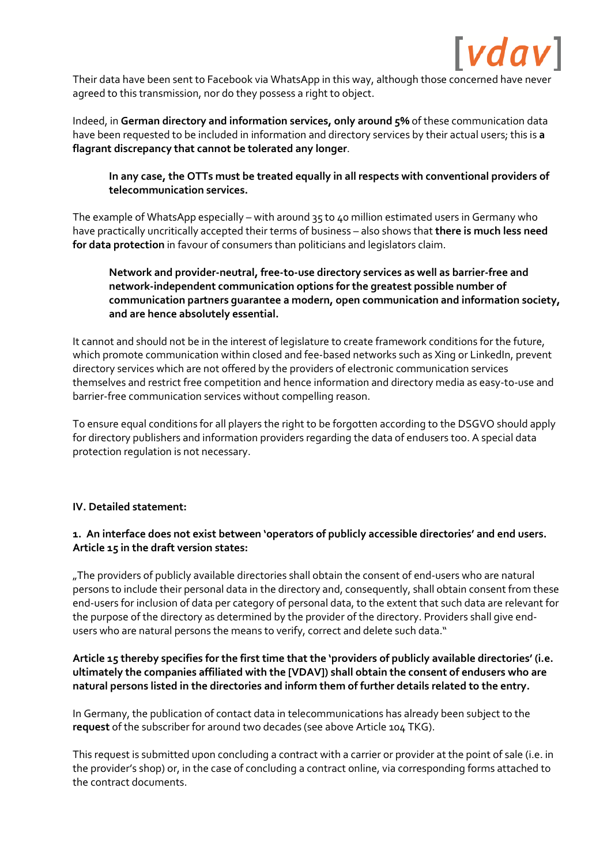

Their data have been sent to Facebook via WhatsApp in this way, although those concerned have never agreed to this transmission, nor do they possess a right to object.

Indeed, in **German directory and information services, only around 5%** of these communication data have been requested to be included in information and directory services by their actual users; this is **a flagrant discrepancy that cannot be tolerated any longer**.

**In any case, the OTTs must be treated equally in all respects with conventional providers of telecommunication services.** 

The example of WhatsApp especially – with around 35 to 40 million estimated users in Germany who have practically uncritically accepted their terms of business – also shows that **there is much less need for data protection** in favour of consumers than politicians and legislators claim.

# **Network and provider-neutral, free-to-use directory services as well as barrier-free and network-independent communication options for the greatest possible number of communication partners guarantee a modern, open communication and information society, and are hence absolutely essential.**

It cannot and should not be in the interest of legislature to create framework conditions for the future, which promote communication within closed and fee-based networks such as Xing or LinkedIn, prevent directory services which are not offered by the providers of electronic communication services themselves and restrict free competition and hence information and directory media as easy-to-use and barrier-free communication services without compelling reason.

To ensure equal conditions for all players the right to be forgotten according to the DSGVO should apply for directory publishers and information providers regarding the data of endusers too. A special data protection regulation is not necessary.

#### **IV. Detailed statement:**

# **1. An interface does not exist between 'operators of publicly accessible directories' and end users. Article 15 in the draft version states:**

"The providers of publicly available directories shall obtain the consent of end-users who are natural persons to include their personal data in the directory and, consequently, shall obtain consent from these end-users for inclusion of data per category of personal data, to the extent that such data are relevant for the purpose of the directory as determined by the provider of the directory. Providers shall give endusers who are natural persons the means to verify, correct and delete such data."

### **Article 15 thereby specifies for the first time that the 'providers of publicly available directories' (i.e. ultimately the companies affiliated with the [VDAV]) shall obtain the consent of endusers who are natural persons listed in the directories and inform them of further details related to the entry.**

In Germany, the publication of contact data in telecommunications has already been subject to the **request** of the subscriber for around two decades (see above Article 104 TKG).

This request is submitted upon concluding a contract with a carrier or provider at the point of sale (i.e. in the provider's shop) or, in the case of concluding a contract online, via corresponding forms attached to the contract documents.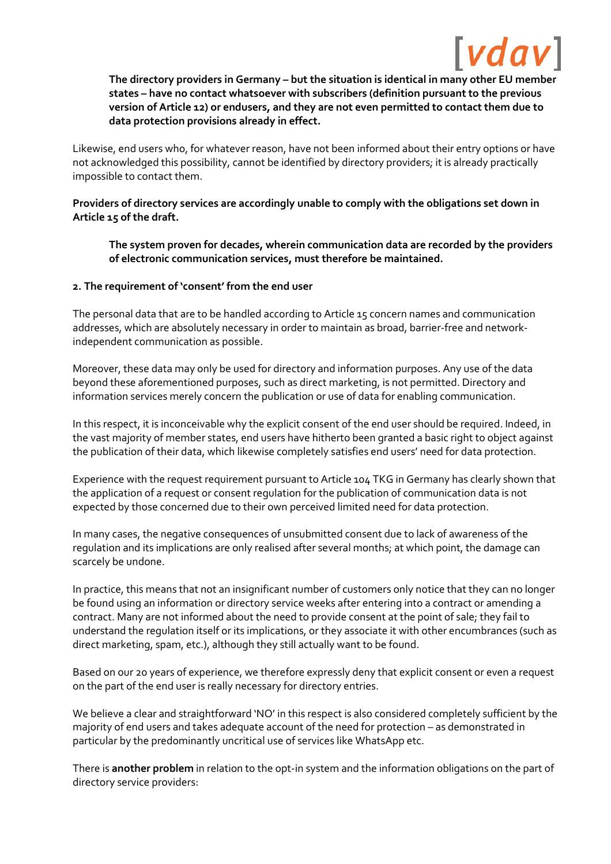

**The directory providers in Germany – but the situation is identical in many other EU member states – have no contact whatsoever with subscribers (definition pursuant to the previous version of Article 12) or endusers, and they are not even permitted to contact them due to data protection provisions already in effect.** 

Likewise, end users who, for whatever reason, have not been informed about their entry options or have not acknowledged this possibility, cannot be identified by directory providers; it is already practically impossible to contact them.

**Providers of directory services are accordingly unable to comply with the obligations set down in Article 15 of the draft.** 

**The system proven for decades, wherein communication data are recorded by the providers of electronic communication services, must therefore be maintained.** 

#### **2. The requirement of 'consent' from the end user**

The personal data that are to be handled according to Article 15 concern names and communication addresses, which are absolutely necessary in order to maintain as broad, barrier-free and networkindependent communication as possible.

Moreover, these data may only be used for directory and information purposes. Any use of the data beyond these aforementioned purposes, such as direct marketing, is not permitted. Directory and information services merely concern the publication or use of data for enabling communication.

In this respect, it is inconceivable why the explicit consent of the end user should be required. Indeed, in the vast majority of member states, end users have hitherto been granted a basic right to object against the publication of their data, which likewise completely satisfies end users' need for data protection.

Experience with the request requirement pursuant to Article 104 TKG in Germany has clearly shown that the application of a request or consent regulation for the publication of communication data is not expected by those concerned due to their own perceived limited need for data protection.

In many cases, the negative consequences of unsubmitted consent due to lack of awareness of the regulation and its implications are only realised after several months; at which point, the damage can scarcely be undone.

In practice, this means that not an insignificant number of customers only notice that they can no longer be found using an information or directory service weeks after entering into a contract or amending a contract. Many are not informed about the need to provide consent at the point of sale; they fail to understand the regulation itself or its implications, or they associate it with other encumbrances (such as direct marketing, spam, etc.), although they still actually want to be found.

Based on our 20 years of experience, we therefore expressly deny that explicit consent or even a request on the part of the end user is really necessary for directory entries.

We believe a clear and straightforward 'NO' in this respect is also considered completely sufficient by the majority of end users and takes adequate account of the need for protection – as demonstrated in particular by the predominantly uncritical use of services like WhatsApp etc.

There is **another problem** in relation to the opt-in system and the information obligations on the part of directory service providers: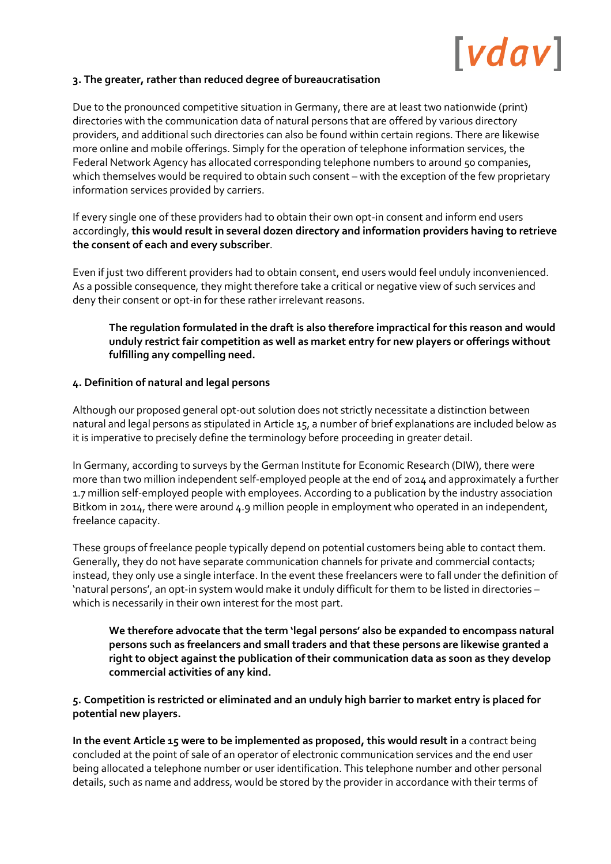### **3. The greater, rather than reduced degree of bureaucratisation**

Due to the pronounced competitive situation in Germany, there are at least two nationwide (print) directories with the communication data of natural persons that are offered by various directory providers, and additional such directories can also be found within certain regions. There are likewise more online and mobile offerings. Simply for the operation of telephone information services, the Federal Network Agency has allocated corresponding telephone numbers to around 50 companies, which themselves would be required to obtain such consent – with the exception of the few proprietary information services provided by carriers.

If every single one of these providers had to obtain their own opt-in consent and inform end users accordingly, **this would result in several dozen directory and information providers having to retrieve the consent of each and every subscriber**.

Even if just two different providers had to obtain consent, end users would feel unduly inconvenienced. As a possible consequence, they might therefore take a critical or negative view of such services and deny their consent or opt-in for these rather irrelevant reasons.

### **The regulation formulated in the draft is also therefore impractical for this reason and would unduly restrict fair competition as well as market entry for new players or offerings without fulfilling any compelling need.**

#### **4. Definition of natural and legal persons**

Although our proposed general opt-out solution does not strictly necessitate a distinction between natural and legal persons as stipulated in Article 15, a number of brief explanations are included below as it is imperative to precisely define the terminology before proceeding in greater detail.

In Germany, according to surveys by the German Institute for Economic Research (DIW), there were more than two million independent self-employed people at the end of 2014 and approximately a further 1.7 million self-employed people with employees. According to a publication by the industry association Bitkom in 2014, there were around  $4.9$  million people in employment who operated in an independent, freelance capacity.

These groups of freelance people typically depend on potential customers being able to contact them. Generally, they do not have separate communication channels for private and commercial contacts; instead, they only use a single interface. In the event these freelancers were to fall under the definition of 'natural persons', an opt-in system would make it unduly difficult for them to be listed in directories – which is necessarily in their own interest for the most part.

**We therefore advocate that the term 'legal persons' also be expanded to encompass natural persons such as freelancers and small traders and that these persons are likewise granted a right to object against the publication of their communication data as soon as they develop commercial activities of any kind.** 

**5. Competition is restricted or eliminated and an unduly high barrier to market entry is placed for potential new players.** 

**In the event Article 15 were to be implemented as proposed, this would result in** a contract being concluded at the point of sale of an operator of electronic communication services and the end user being allocated a telephone number or user identification. This telephone number and other personal details, such as name and address, would be stored by the provider in accordance with their terms of